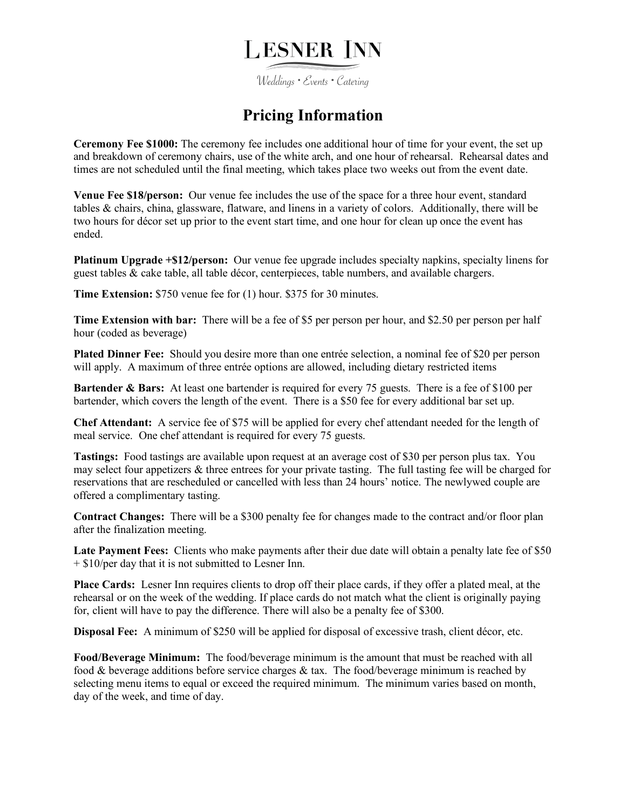## **LESNER INN**

Weddings • Events • Catering

## **Pricing Information**

**Ceremony Fee \$1000:** The ceremony fee includes one additional hour of time for your event, the set up and breakdown of ceremony chairs, use of the white arch, and one hour of rehearsal. Rehearsal dates and times are not scheduled until the final meeting, which takes place two weeks out from the event date.

**Venue Fee \$18/person:** Our venue fee includes the use of the space for a three hour event, standard tables & chairs, china, glassware, flatware, and linens in a variety of colors. Additionally, there will be two hours for décor set up prior to the event start time, and one hour for clean up once the event has ended.

**Platinum Upgrade +\$12/person:** Our venue fee upgrade includes specialty napkins, specialty linens for guest tables & cake table, all table décor, centerpieces, table numbers, and available chargers.

**Time Extension:** \$750 venue fee for (1) hour. \$375 for 30 minutes.

**Time Extension with bar:** There will be a fee of \$5 per person per hour, and \$2.50 per person per half hour (coded as beverage)

**Plated Dinner Fee:** Should you desire more than one entrée selection, a nominal fee of \$20 per person will apply. A maximum of three entrée options are allowed, including dietary restricted items

**Bartender & Bars:** At least one bartender is required for every 75 guests. There is a fee of \$100 per bartender, which covers the length of the event. There is a \$50 fee for every additional bar set up.

**Chef Attendant:** A service fee of \$75 will be applied for every chef attendant needed for the length of meal service. One chef attendant is required for every 75 guests.

**Tastings:** Food tastings are available upon request at an average cost of \$30 per person plus tax. You may select four appetizers & three entrees for your private tasting. The full tasting fee will be charged for reservations that are rescheduled or cancelled with less than 24 hours' notice. The newlywed couple are offered a complimentary tasting.

**Contract Changes:** There will be a \$300 penalty fee for changes made to the contract and/or floor plan after the finalization meeting.

Late Payment Fees: Clients who make payments after their due date will obtain a penalty late fee of \$50 + \$10/per day that it is not submitted to Lesner Inn.

**Place Cards:** Lesner Inn requires clients to drop off their place cards, if they offer a plated meal, at the rehearsal or on the week of the wedding. If place cards do not match what the client is originally paying for, client will have to pay the difference. There will also be a penalty fee of \$300.

**Disposal Fee:** A minimum of \$250 will be applied for disposal of excessive trash, client décor, etc.

**Food/Beverage Minimum:** The food/beverage minimum is the amount that must be reached with all food & beverage additions before service charges & tax. The food/beverage minimum is reached by selecting menu items to equal or exceed the required minimum. The minimum varies based on month, day of the week, and time of day.